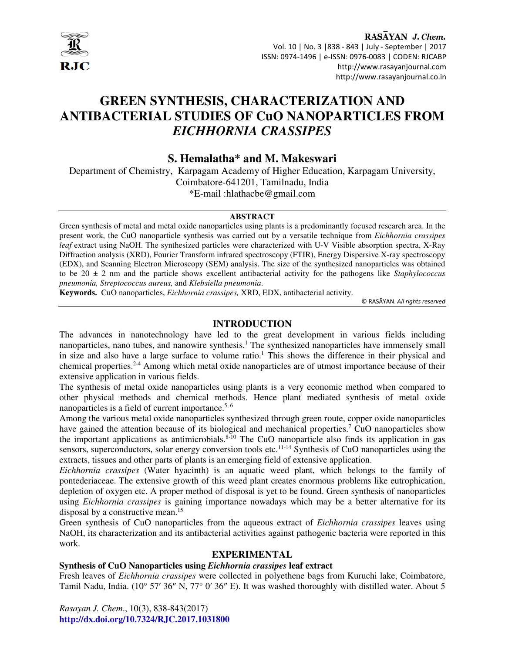

RASAYAN J. Chem. Vol. 10 | No. 3 |838 - 843 | July - September | 2017 ISSN: 0974-1496 | e-ISSN: 0976-0083 | CODEN: RJCABP http://www.rasayanjournal.com http://www.rasayanjournal.co.in

# **GREEN SYNTHESIS, CHARACTERIZATION AND ANTIBACTERIAL STUDIES OF CuO NANOPARTICLES FROM**  *EICHHORNIA CRASSIPES*

# **S. Hemalatha\* and M. Makeswari**

Department of Chemistry, Karpagam Academy of Higher Education, Karpagam University, Coimbatore-641201, Tamilnadu, India \*E-mail :hlathacbe@gmail.com

#### **ABSTRACT**

Green synthesis of metal and metal oxide nanoparticles using plants is a predominantly focused research area. In the present work, the CuO nanoparticle synthesis was carried out by a versatile technique from *Eichhornia crassipes leaf* extract using NaOH. The synthesized particles were characterized with U-V Visible absorption spectra, X-Ray Diffraction analysis (XRD), Fourier Transform infrared spectroscopy (FTIR), Energy Dispersive X-ray spectroscopy (EDX), and Scanning Electron Microscopy (SEM) analysis. The size of the synthesized nanoparticles was obtained to be 20 ± 2 nm and the particle shows excellent antibacterial activity for the pathogens like *Staphylococcus pneumonia, Streptococcus aureus,* and *Klebsiella pneumonia*.

**Keywords.** CuO nanoparticles, *Eichhornia crassipes,* XRD, EDX, antibacterial activity.

© RASĀYAN. *All rights reserved*

## **INTRODUCTION**

The advances in nanotechnology have led to the great development in various fields including nanoparticles, nano tubes, and nanowire synthesis.<sup>1</sup> The synthesized nanoparticles have immensely small in size and also have a large surface to volume ratio.<sup>1</sup> This shows the difference in their physical and chemical properties.2-4 Among which metal oxide nanoparticles are of utmost importance because of their extensive application in various fields.

The synthesis of metal oxide nanoparticles using plants is a very economic method when compared to other physical methods and chemical methods. Hence plant mediated synthesis of metal oxide nanoparticles is a field of current importance.<sup>5, 6</sup>

Among the various metal oxide nanoparticles synthesized through green route, copper oxide nanoparticles have gained the attention because of its biological and mechanical properties.<sup>7</sup> CuO nanoparticles show the important applications as antimicrobials. $8-10$  The CuO nanoparticle also finds its application in gas sensors, superconductors, solar energy conversion tools etc.<sup>11-14</sup> Synthesis of CuO nanoparticles using the extracts, tissues and other parts of plants is an emerging field of extensive application.

*Eichhornia crassipes* (Water hyacinth) is an aquatic weed plant, which belongs to the family of pontederiaceae. The extensive growth of this weed plant creates enormous problems like eutrophication, depletion of oxygen etc. A proper method of disposal is yet to be found. Green synthesis of nanoparticles using *Eichhornia crassipes* is gaining importance nowadays which may be a better alternative for its disposal by a constructive mean.<sup>15</sup>

Green synthesis of CuO nanoparticles from the aqueous extract of *Eichhornia crassipes* leaves using NaOH, its characterization and its antibacterial activities against pathogenic bacteria were reported in this work.

## **EXPERIMENTAL**

## **Synthesis of CuO Nanoparticles using** *Eichhornia crassipes* **leaf extract**

Fresh leaves of *Eichhornia crassipes* were collected in polyethene bags from Kuruchi lake, Coimbatore, Tamil Nadu, India. (10° 57′ 36″ N, 77° 0′ 36″ E). It was washed thoroughly with distilled water. About 5

*Rasayan J. Chem*., 10(3), 838-843(2017) **http://dx.doi.org/10.7324/RJC.2017.1031800**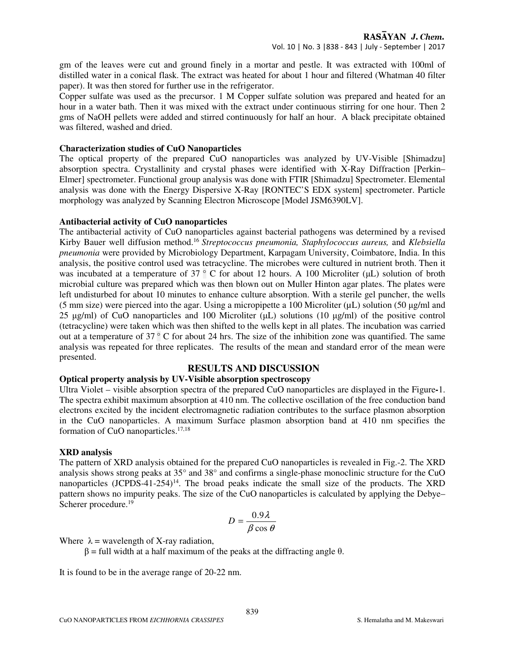gm of the leaves were cut and ground finely in a mortar and pestle. It was extracted with 100ml of distilled water in a conical flask. The extract was heated for about 1 hour and filtered (Whatman 40 filter paper). It was then stored for further use in the refrigerator.

Copper sulfate was used as the precursor. 1 M Copper sulfate solution was prepared and heated for an hour in a water bath. Then it was mixed with the extract under continuous stirring for one hour. Then 2 gms of NaOH pellets were added and stirred continuously for half an hour. A black precipitate obtained was filtered, washed and dried.

#### **Characterization studies of CuO Nanoparticles**

The optical property of the prepared CuO nanoparticles was analyzed by UV-Visible [Shimadzu] absorption spectra. Crystallinity and crystal phases were identified with X-Ray Diffraction [Perkin– Elmer] spectrometer. Functional group analysis was done with FTIR [Shimadzu] Spectrometer. Elemental analysis was done with the Energy Dispersive X-Ray [RONTEC'S EDX system] spectrometer. Particle morphology was analyzed by Scanning Electron Microscope [Model JSM6390LV].

#### **Antibacterial activity of CuO nanoparticles**

The antibacterial activity of CuO nanoparticles against bacterial pathogens was determined by a revised Kirby Bauer well diffusion method.<sup>16</sup>*Streptococcus pneumonia, Staphylococcus aureus,* and *Klebsiella pneumonia* were provided by Microbiology Department, Karpagam University, Coimbatore, India. In this analysis, the positive control used was tetracycline. The microbes were cultured in nutrient broth. Then it was incubated at a temperature of 37  $\degree$  C for about 12 hours. A 100 Microliter ( $\mu$ L) solution of broth microbial culture was prepared which was then blown out on Muller Hinton agar plates. The plates were left undisturbed for about 10 minutes to enhance culture absorption. With a sterile gel puncher, the wells (5 mm size) were pierced into the agar. Using a micropipette a 100 Microliter  $(\mu L)$  solution (50  $\mu$ g/ml and 25 µg/ml) of CuO nanoparticles and 100 Microliter (µL) solutions (10 µg/ml) of the positive control (tetracycline) were taken which was then shifted to the wells kept in all plates. The incubation was carried out at a temperature of  $37^{\circ}$  C for about 24 hrs. The size of the inhibition zone was quantified. The same analysis was repeated for three replicates. The results of the mean and standard error of the mean were presented.

## **RESULTS AND DISCUSSION**

# **Optical property analysis by UV-Visible absorption spectroscopy**

Ultra Violet – visible absorption spectra of the prepared CuO nanoparticles are displayed in the Figure**-**1. The spectra exhibit maximum absorption at 410 nm. The collective oscillation of the free conduction band electrons excited by the incident electromagnetic radiation contributes to the surface plasmon absorption in the CuO nanoparticles. A maximum Surface plasmon absorption band at 410 nm specifies the formation of CuO nanoparticles.17,18

## **XRD analysis**

The pattern of XRD analysis obtained for the prepared CuO nanoparticles is revealed in Fig.-2. The XRD analysis shows strong peaks at 35° and 38° and confirms a single-phase monoclinic structure for the CuO nanoparticles  $(JCPDS-41-254)^{14}$ . The broad peaks indicate the small size of the products. The XRD pattern shows no impurity peaks. The size of the CuO nanoparticles is calculated by applying the Debye– Scherer procedure.<sup>19</sup>

$$
D = \frac{0.9\lambda}{\beta \cos \theta}
$$

Where  $\lambda$  = wavelength of X-ray radiation,

 $β = full width at a half maximum of the peaks at the diffraction angle θ.$ 

It is found to be in the average range of 20-22 nm.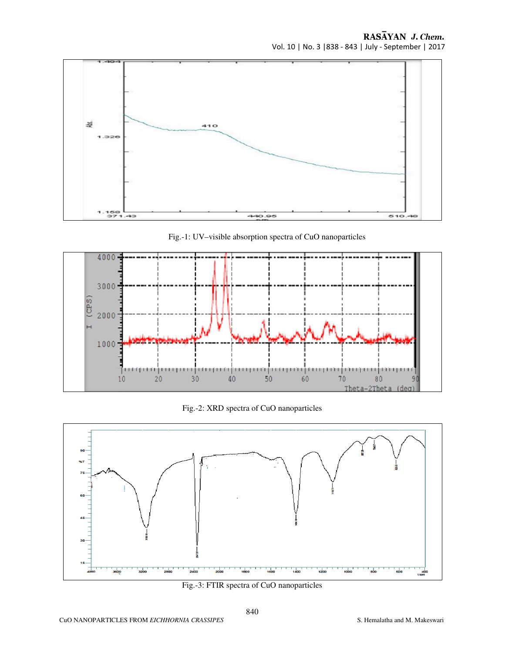RASAYAN J. Chem. Vol. 10 | No. 3 |838 - 843 | July - September | 2017



Fig.-1: UV–visible absorption spectra of CuO nanoparticles



Fig.-2: XRD spectra of CuO nanoparticles



Fig.-3: FTIR spectra of CuO nanoparticles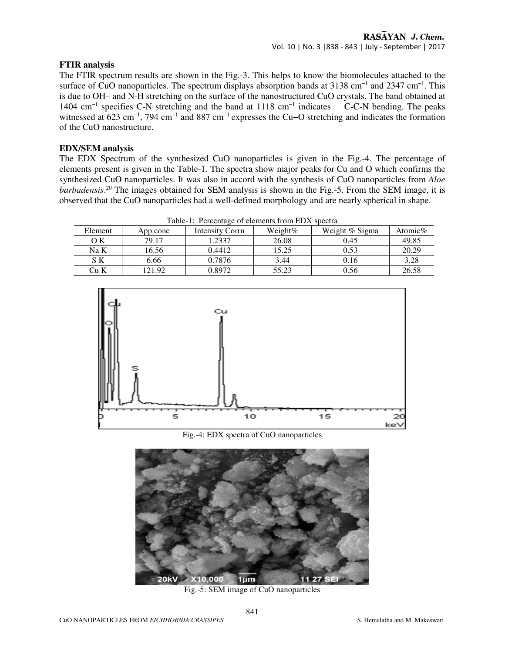#### **FTIR analysis**

The FTIR spectrum results are shown in the Fig.-3. This helps to know the biomolecules attached to the surface of CuO nanoparticles. The spectrum displays absorption bands at 3138 cm<sup>-1</sup> and 2347 cm<sup>-1</sup>. This is due to OH– and N-H stretching on the surface of the nanostructured CuO crystals. The band obtained at 1404 cm−1 specifies C-N stretching and the band at 1118 cm−1 indicates C-C-N bending. The peaks witnessed at 623 cm<sup>-1</sup>, 794 cm<sup>-1</sup> and 887 cm<sup>-1</sup> expresses the Cu–O stretching and indicates the formation of the CuO nanostructure.

### **EDX/SEM analysis**

The EDX Spectrum of the synthesized CuO nanoparticles is given in the Fig.-4. The percentage of elements present is given in the Table-1. The spectra show major peaks for Cu and O which confirms the synthesized CuO nanoparticles. It was also in accord with the synthesis of CuO nanoparticles from *Aloe barbadensis*. <sup>20</sup> The images obtained for SEM analysis is shown in the Fig.-5. From the SEM image, it is observed that the CuO nanoparticles had a well-defined morphology and are nearly spherical in shape.

| Tuble 1. I creening of crements from ED <sub>1</sub> , spectru |          |                 |            |                |            |
|----------------------------------------------------------------|----------|-----------------|------------|----------------|------------|
| Element                                                        | App conc | Intensity Corrn | Weight $%$ | Weight % Sigma | Atomic $%$ |
| OК                                                             | 79.17    | .2337           | 26.08      | 0.45           | 49.85      |
| Na K                                                           | 16.56    | 0.4412          | 15.25      | 0.53           | 20.29      |
| S K                                                            | 6.66     | 0.7876          | 3.44       | 0.16           | 3.28       |
| Cu K                                                           | 121.92   | 0.8972          | 55.23      | 0.56           | 26.58      |

Table-1: Percentage of elements from EDX spectra



Fig.-4: EDX spectra of CuO nanoparticles



Fig.-5: SEM image of CuO nanoparticles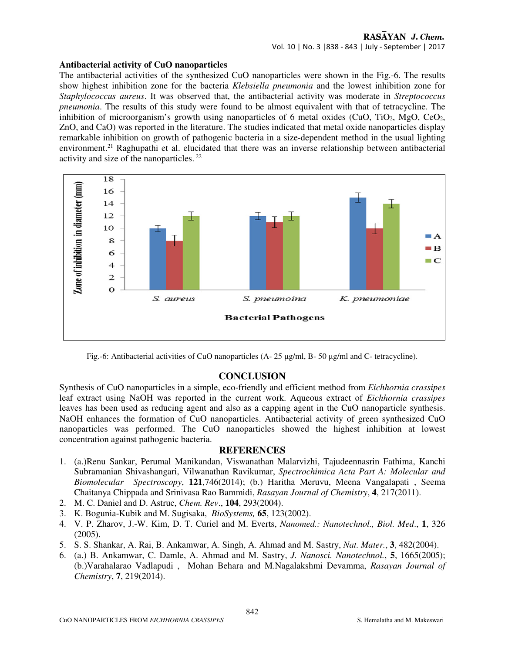### **Antibacterial activity of CuO nanoparticles**

The antibacterial activities of the synthesized CuO nanoparticles were shown in the Fig.-6. The results show highest inhibition zone for the bacteria *Klebsiella pneumonia* and the lowest inhibition zone for *Staphylococcus aureus*. It was observed that, the antibacterial activity was moderate in *Streptococcus pneumonia*. The results of this study were found to be almost equivalent with that of tetracycline. The inhibition of microorganism's growth using nanoparticles of 6 metal oxides (CuO, TiO<sub>2</sub>, MgO, CeO<sub>2</sub>, ZnO, and CaO) was reported in the literature. The studies indicated that metal oxide nanoparticles display remarkable inhibition on growth of pathogenic bacteria in a size-dependent method in the usual lighting environment.<sup>21</sup> Raghupathi et al. elucidated that there was an inverse relationship between antibacterial activity and size of the nanoparticles.<sup>22</sup>



Fig.-6: Antibacterial activities of CuO nanoparticles (A- 25 µg/ml, B- 50 µg/ml and C- tetracycline).

# **CONCLUSION**

Synthesis of CuO nanoparticles in a simple, eco-friendly and efficient method from *Eichhornia crassipes*  leaf extract using NaOH was reported in the current work. Aqueous extract of *Eichhornia crassipes* leaves has been used as reducing agent and also as a capping agent in the CuO nanoparticle synthesis. NaOH enhances the formation of CuO nanoparticles. Antibacterial activity of green synthesized CuO nanoparticles was performed. The CuO nanoparticles showed the highest inhibition at lowest concentration against pathogenic bacteria.

# **REFERENCES**

- 1. (a.)Renu Sankar, Perumal Manikandan, Viswanathan Malarvizhi, Tajudeennasrin Fathima, Kanchi Subramanian Shivashangari, Vilwanathan Ravikumar, *Spectrochimica Acta Part A: Molecular and Biomolecular Spectroscopy*, **121**,746(2014); (b.) Haritha Meruvu, Meena Vangalapati , Seema Chaitanya Chippada and Srinivasa Rao Bammidi, *Rasayan Journal of Chemistry*, **4**, 217(2011).
- 2. M. C. Daniel and D. Astruc, *Chem. Rev*., **104**, 293(2004).
- 3. K. Bogunia-Kubik and M. Sugisaka, *BioSystems,* **65**, 123(2002).
- 4. V. P. Zharov, J.-W. Kim, D. T. Curiel and M. Everts, *Nanomed.: Nanotechnol., Biol. Med*., **1**, 326 (2005).
- 5. S. S. Shankar, A. Rai, B. Ankamwar, A. Singh, A. Ahmad and M. Sastry, *Nat. Mater.*, **3**, 482(2004).
- 6. (a.) B. Ankamwar, C. Damle, A. Ahmad and M. Sastry, *J. Nanosci. Nanotechnol.*, **5**, 1665(2005); (b.)Varahalarao Vadlapudi , Mohan Behara and M.Nagalakshmi Devamma, *Rasayan Journal of Chemistry*, **7**, 219(2014).